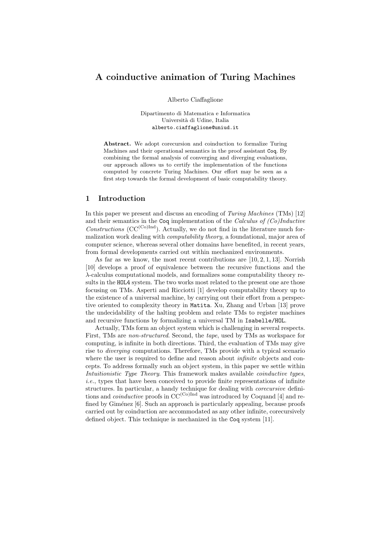# A coinductive animation of Turing Machines

Alberto Ciaffaglione

Dipartimento di Matematica e Informatica Università di Udine, Italia alberto.ciaffaglione@uniud.it

Abstract. We adopt corecursion and coinduction to formalize Turing Machines and their operational semantics in the proof assistant Coq. By combining the formal analysis of converging and diverging evaluations, our approach allows us to certify the implementation of the functions computed by concrete Turing Machines. Our effort may be seen as a first step towards the formal development of basic computability theory.

### 1 Introduction

In this paper we present and discuss an encoding of Turing Machines (TMs) [12] and their semantics in the Coq implementation of the Calculus of  $(Co) Inductive$ Constructions (CC<sup>(Co)Ind</sup>). Actually, we do not find in the literature much formalization work dealing with computability theory, a foundational, major area of computer science, whereas several other domains have benefited, in recent years, from formal developments carried out within mechanized environments.

As far as we know, the most recent contributions are  $[10, 2, 1, 13]$ . Norrish [10] develops a proof of equivalence between the recursive functions and the λ-calculus computational models, and formalizes some computability theory results in the HOL4 system. The two works most related to the present one are those focusing on TMs. Asperti and Ricciotti [1] develop computability theory up to the existence of a universal machine, by carrying out their effort from a perspective oriented to complexity theory in Matita. Xu, Zhang and Urban [13] prove the undecidability of the halting problem and relate TMs to register machines and recursive functions by formalizing a universal TM in Isabelle/HOL.

Actually, TMs form an object system which is challenging in several respects. First, TMs are non-structured. Second, the tape, used by TMs as workspace for computing, is infinite in both directions. Third, the evaluation of TMs may give rise to diverging computations. Therefore, TMs provide with a typical scenario where the user is required to define and reason about *infinite* objects and concepts. To address formally such an object system, in this paper we settle within Intuitionistic Type Theory. This framework makes available coinductive types, i.e., types that have been conceived to provide finite representations of infinite structures. In particular, a handy technique for dealing with corecursive definitions and *coinductive* proofs in  $\mathrm{CC}^{(\mathrm{Co})\mathrm{Ind}}$  was introduced by Coquand [4] and refined by Giménez [6]. Such an approach is particularly appealing, because proofs carried out by coinduction are accommodated as any other infinite, corecursively defined object. This technique is mechanized in the Coq system [11].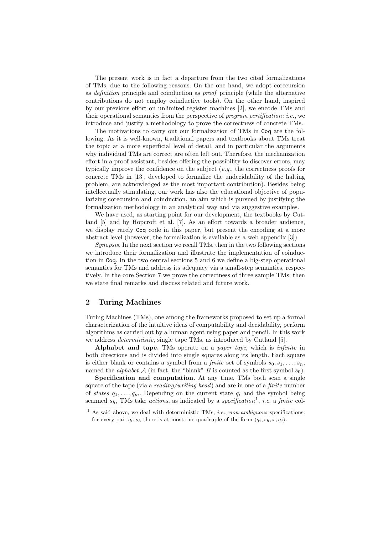The present work is in fact a departure from the two cited formalizations of TMs, due to the following reasons. On the one hand, we adopt corecursion as definition principle and coinduction as proof principle (while the alternative contributions do not employ coinductive tools). On the other hand, inspired by our previous effort on unlimited register machines [2], we encode TMs and their operational semantics from the perspective of program certification: i.e., we introduce and justify a methodology to prove the correctness of concrete TMs.

The motivations to carry out our formalization of TMs in Coq are the following. As it is well-known, traditional papers and textbooks about TMs treat the topic at a more superficial level of detail, and in particular the arguments why individual TMs are correct are often left out. Therefore, the mechanization effort in a proof assistant, besides offering the possibility to discover errors, may typically improve the confidence on the subject  $(e.g.,\,$  the correctness proofs for concrete TMs in [13], developed to formalize the undecidability of the halting problem, are acknowledged as the most important contribution). Besides being intellectually stimulating, our work has also the educational objective of popularizing corecursion and coinduction, an aim which is pursued by justifying the formalization methodology in an analytical way and via suggestive examples.

We have used, as starting point for our development, the textbooks by Cutland [5] and by Hopcroft et al. [7]. As an effort towards a broader audience, we display rarely Coq code in this paper, but present the encoding at a more abstract level (however, the formalization is available as a web appendix [3]).

Synopsis. In the next section we recall TMs, then in the two following sections we introduce their formalization and illustrate the implementation of coinduction in Coq. In the two central sections 5 and 6 we define a big-step operational semantics for TMs and address its adequacy via a small-step semantics, respectively. In the core Section 7 we prove the correctness of three sample TMs, then we state final remarks and discuss related and future work.

### 2 Turing Machines

Turing Machines (TMs), one among the frameworks proposed to set up a formal characterization of the intuitive ideas of computability and decidability, perform algorithms as carried out by a human agent using paper and pencil. In this work we address *deterministic*, single tape TMs, as introduced by Cutland [5].

Alphabet and tape. TMs operate on a paper tape, which is *infinite* in both directions and is divided into single squares along its length. Each square is either blank or contains a symbol from a *finite* set of symbols  $s_0, s_1, \ldots, s_n$ , named the *alphabet*  $A$  (in fact, the "blank" B is counted as the first symbol  $s_0$ ).

Specification and computation. At any time, TMs both scan a single square of the tape (via a reading/writing head) and are in one of a finite number of states  $q_1, \ldots, q_m$ . Depending on the current state  $q_i$  and the symbol being scanned  $s_h$ , TMs take *actions*, as indicated by a *specification*<sup>1</sup>, *i.e.* a *finite* col-

<sup>&</sup>lt;sup>1</sup> As said above, we deal with deterministic TMs, *i.e.*, *non-ambiguous* specifications: for every pair  $q_i, s_h$  there is at most one quadruple of the form  $\langle q_i, s_h, x, q_j \rangle$ .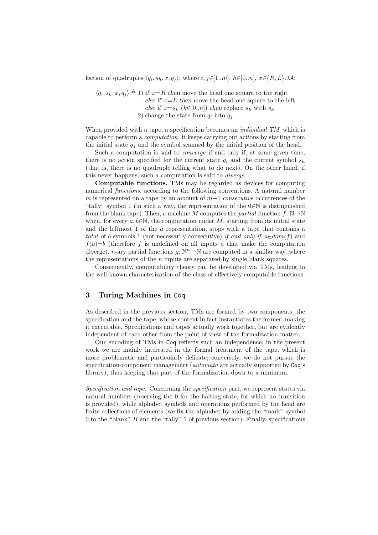lection of quadruples  $\langle q_i, s_h, x, q_j \rangle$ , where  $i, j \in [1..m], h \in [0..n], x \in \{R, L\} \cup \mathcal{A}$ :

 $\langle q_i, s_h, x, q_j \rangle \triangleq 1$  if  $x=R$  then move the head one square to the right else if  $x=L$  then move the head one square to the left else if  $x=s_k$  ( $k\in[0..n]$ ) then replace  $s_h$  with  $s_k$ 2) change the state from  $q_i$  into  $q_j$ 

When provided with a tape, a specification becomes an *individual TM*, which is capable to perform a computation: it keeps carrying out actions by starting from the initial state  $q_1$  and the symbol scanned by the initial position of the head.

Such a computation is said to converge if and only if, at some given time, there is no action specified for the current state  $q_i$  and the current symbol  $s_h$ (that is, there is no quadruple telling what to do next). On the other hand, if this never happens, such a computation is said to diverge.

Computable functions. TMs may be regarded as devices for computing numerical functions, according to the following conventions. A natural number m is represented on a tape by an amount of  $m+1$  consecutive occurrences of the "tally" symbol 1 (in such a way, the representation of the 0∈N is distinguished from the blank tape). Then, a machine M computes the *partial* function  $f: \mathbb{N} \rightarrow \mathbb{N}$ when, for every  $a, b \in \mathbb{N}$ , the computation under M, starting from its initial state and the leftmost 1 of the a representation, stops with a tape that contains a total of b symbols 1 (not necessarily consecutive) if and only if  $a \in dom(f)$  and  $f(a)=b$  (therefore f is undefined on all inputs a that make the computation diverge). *n*-ary partial functions  $g: \mathbb{N}^n \to \mathbb{N}$  are computed in a similar way, where the representations of the  $n$  inputs are separated by single blank squares.

Consequently, computability theory can be developed via TMs, leading to the well-known characterization of the class of effectively computable functions.

## 3 Turing Machines in Coq

As described in the previous section, TMs are formed by two components: the specification and the tape, whose content in fact instantiates the former, making it executable. Specifications and tapes actually work together, but are evidently independent of each other from the point of view of the formalization matter.

Our encoding of TMs in Coq reflects such an independence: in the present work we are mainly interested in the formal treatment of the tape, which is more problematic and particularly delicate; conversely, we do not pursue the specification-component management (*automata* are actually supported by Coq's library), thus keeping that part of the formalization down to a minimum.

Specification and tape. Concerning the specification part, we represent states via natural numbers (reserving the 0 for the halting state, for which no transition is provided), while alphabet symbols and operations performed by the head are finite collections of elements (we fix the alphabet by adding the "mark" symbol 0 to the "blank" B and the "tally" 1 of previous section). Finally, specifications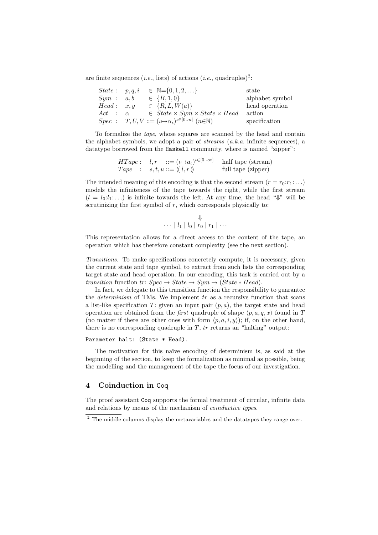are finite sequences (*i.e.*, lists) of actions (*i.e.*, quadruples)<sup>2</sup>:

| State: p,q,i         |  | $\in \mathbb{N} = \{0, 1, 2, \ldots\}$                                                     | state           |
|----------------------|--|--------------------------------------------------------------------------------------------|-----------------|
| Sym: a,b             |  | $\in \{B, 1, 0\}$                                                                          | alphabet symbol |
| Head: x, y           |  | $\in \{R, L, W(a)\}\$                                                                      | head operation  |
| $Act \; : \; \alpha$ |  | $\in$ State $\times$ Sym $\times$ State $\times$ Head                                      | action          |
|                      |  | $Spec: T, U, V ::= (\iota \mapsto \alpha_{\iota})^{\iota \in [0n]}$ ( $n \in \mathbb{N}$ ) | specification   |

To formalize the tape, whose squares are scanned by the head and contain the alphabet symbols, we adopt a pair of *streams*  $(a.k.a.$  infinite sequences), a datatype borrowed from the Haskell community, where is named "zipper":

> $HTape: \quad l, r \quad ::= (\iota \mapsto a_{\iota})^{\iota \in [0..\infty]} \quad \text{half tape (stream)}$  $Tape : s, t, u ::= \langle \langle l, r \rangle \rangle$  full tape (zipper)

The intended meaning of this encoding is that the second stream  $(r = r_0: r_1: ...)$ models the infiniteness of the tape towards the right, while the first stream  $(l = l_0: l_1: ...)$  is infinite towards the left. At any time, the head " $\Downarrow$ " will be scrutinizing the first symbol of  $r$ , which corresponds physically to:

$$
\cdots |l_1| l_0 |r_0 |r_1| \cdots
$$

This representation allows for a direct access to the content of the tape, an operation which has therefore constant complexity (see the next section).

Transitions. To make specifications concretely compute, it is necessary, given the current state and tape symbol, to extract from such lists the corresponding target state and head operation. In our encoding, this task is carried out by a transition function tr:  $Spec \rightarrow State \rightarrow Sym \rightarrow (State * Head).$ 

In fact, we delegate to this transition function the responsibility to guarantee the *determinism* of TMs. We implement tr as a recursive function that scans a list-like specification  $T:$  given an input pair  $(p, a)$ , the target state and head operation are obtained from the *first* quadruple of shape  $\langle p, a, q, x \rangle$  found in T (no matter if there are other ones with form  $\langle p, a, i, y \rangle$ ); if, on the other hand, there is no corresponding quadruple in  $T$ ,  $tr$  returns an "halting" output:

```
Parameter halt: (State * Head).
```
The motivation for this naïve encoding of determinism is, as said at the beginning of the section, to keep the formalization as minimal as possible, being the modelling and the management of the tape the focus of our investigation.

# 4 Coinduction in Coq

The proof assistant Coq supports the formal treatment of circular, infinite data and relations by means of the mechanism of *coinductive types*.

 $2$  The middle columns display the metavariables and the datatypes they range over.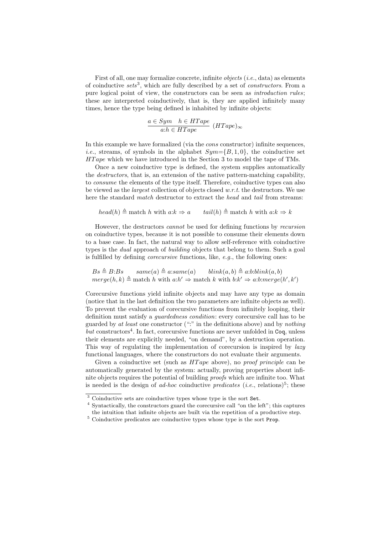First of all, one may formalize concrete, infinite objects (i.e., data) as elements of coinductive  $sets^3$ , which are fully described by a set of *constructors*. From a pure logical point of view, the constructors can be seen as *introduction rules*; these are interpreted coinductively, that is, they are applied infinitely many times, hence the type being defined is inhabited by infinite objects:

$$
\frac{a \in Sym \quad h \in HTape}{a:h \in HTape} \ (HTape)_{\infty}
$$

In this example we have formalized (via the *cons* constructor) infinite sequences, *i.e.*, streams, of symbols in the alphabet  $Sym=\{B, 1, 0\}$ , the coinductive set HTape which we have introduced in the Section 3 to model the tape of TMs.

Once a new coinductive type is defined, the system supplies automatically the destructors, that is, an extension of the native pattern-matching capability, to consume the elements of the type itself. Therefore, coinductive types can also be viewed as the *largest* collection of objects closed  $w.r.t.$  the destructors. We use here the standard match destructor to extract the head and tail from streams:

$$
head(h) \triangleq
$$
 match h with  $a:k \Rightarrow a$   $tail(h) \triangleq$  match h with  $a:k \Rightarrow k$ 

However, the destructors cannot be used for defining functions by recursion on coinductive types, because it is not possible to consume their elements down to a base case. In fact, the natural way to allow self-reference with coinductive types is the *dual* approach of *building* objects that belong to them. Such a goal is fulfilled by defining corecursive functions, like, e.g., the following ones:

 $Bs \triangleq B:Bs$  same(a)  $\triangleq a: same(a)$  blink(a, b)  $\triangleq a:b:blink(a, b)$  $merge(h, k) \triangleq$  match h with  $a:h' \Rightarrow$  match k with  $b:k' \Rightarrow a:b:merge(h', k')$ 

Corecursive functions yield infinite objects and may have any type as domain (notice that in the last definition the two parameters are infinite objects as well). To prevent the evaluation of corecursive functions from infinitely looping, their definition must satisfy a guardedness condition: every corecursive call has to be guarded by at least one constructor  $(\cdot\cdot\cdot\cdot)$  in the definitions above) and by nothing but constructors<sup>4</sup>. In fact, corecursive functions are never unfolded in Coq, unless their elements are explicitly needed, "on demand", by a destruction operation. This way of regulating the implementation of corecursion is inspired by *lazy* functional languages, where the constructors do not evaluate their arguments.

Given a coinductive set (such as  $HTape$  above), no proof principle can be automatically generated by the system: actually, proving properties about infinite objects requires the potential of building proofs which are infinite too. What is needed is the design of *ad-hoc* coinductive *predicates* (*i.e.*, relations)<sup>5</sup>; these

<sup>3</sup> Coinductive sets are coinductive types whose type is the sort Set.

<sup>4</sup> Syntactically, the constructors guard the corecursive call "on the left"; this captures the intuition that infinite objects are built via the repetition of a productive step.

<sup>5</sup> Coinductive predicates are coinductive types whose type is the sort Prop.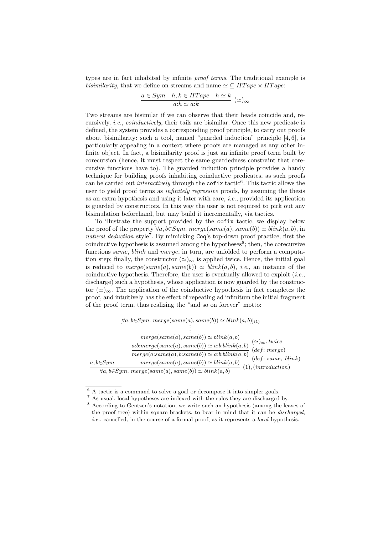types are in fact inhabited by infinite proof terms. The traditional example is *bisimilarity*, that we define on streams and name  $\simeq \subseteq HType \times HType$ :

$$
\frac{a \in Sym \quad h, k \in HTape \quad h \simeq k}{a:h \simeq a:k} \; (\simeq)_{\infty}
$$

Two streams are bisimilar if we can observe that their heads coincide and, recursively, i.e., coinductively, their tails are bisimilar. Once this new predicate is defined, the system provides a corresponding proof principle, to carry out proofs about bisimilarity: such a tool, named "guarded induction" principle [4, 6], is particularly appealing in a context where proofs are managed as any other infinite object. In fact, a bisimilarity proof is just an infinite proof term built by corecursion (hence, it must respect the same guardedness constraint that corecursive functions have to). The guarded induction principle provides a handy technique for building proofs inhabiting coinductive predicates, as such proofs can be carried out *interactively* through the  $\text{cofix}$  tactic<sup>6</sup>. This tactic allows the user to yield proof terms as *infinitely regressive* proofs, by assuming the thesis as an extra hypothesis and using it later with care, i.e., provided its application is guarded by constructors. In this way the user is not required to pick out any bisimulation beforehand, but may build it incrementally, via tactics.

To illustrate the support provided by the cofix tactic, we display below the proof of the property  $\forall a, b \in Sym$ . merge(same(a), same(b))  $\simeq \text{blink}(a, b)$ , in natural deduction style<sup>7</sup>. By mimicking Coq's top-down proof practice, first the coinductive hypothesis is assumed among the hypotheses<sup>8</sup>; then, the corecursive functions *same*, blink and *merge*, in turn, are unfolded to perform a computation step; finally, the constructor  $(\simeq)_{\infty}$  is applied twice. Hence, the initial goal is reduced to  $merge(same(a), same(b)) \simeq blink(a, b), i.e.,$  an instance of the coinductive hypothesis. Therefore, the user is eventually allowed to exploit  $(i.e.,$ discharge) such a hypothesis, whose application is now guarded by the constructor  $(\simeq)_{\infty}$ . The application of the coinductive hypothesis in fact completes the proof, and intuitively has the effect of repeating ad infinitum the initial fragment of the proof term, thus realizing the "and so on forever" motto:

|                | $[\forall a, b \in Sym$ . merge(same(a), same(b)) $\simeq \text{blink}(a, b) _{(1)}$                |
|----------------|-----------------------------------------------------------------------------------------------------|
|                |                                                                                                     |
|                | $merge(same(a), same(b)) \simeq blink(a, b)$                                                        |
|                | $(\simeq)_{\infty}$ , twice<br>$a:b:merge(same(a),same(b)) \simeq a:b:blink(a,b)$                   |
|                | (def: merge)<br>$merge(a:same(a), b:same(b)) \simeq a:b:blink(a, b)$                                |
| $a, b \in Sym$ | (def: same, blink)<br>$merge(same(a),same(b)) \simeq blink(a,b)$                                    |
|                | (1), (introduction)<br>$\forall a, b \in Sym$ . merge(same(a), same(b)) $\simeq \text{blink}(a, b)$ |

 $6$  A tactic is a command to solve a goal or decompose it into simpler goals.

 $^7$  As usual, local hypotheses are indexed with the rules they are discharged by. <sup>8</sup> According to Gentzen's notation, we write such an hypothesis (among the leaves of the proof tree) within square brackets, to bear in mind that it can be discharged, i.e., cancelled, in the course of a formal proof, as it represents a *local* hypothesis.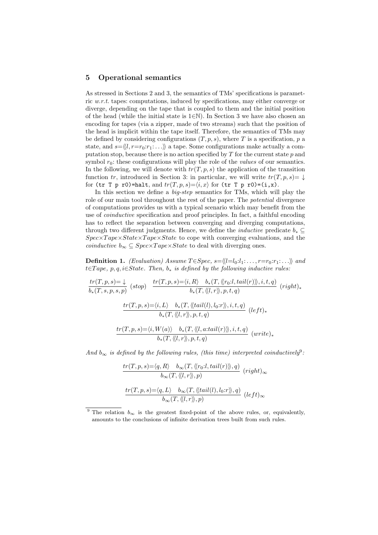#### 5 Operational semantics

As stressed in Sections 2 and 3, the semantics of TMs' specifications is parametric w.r.t. tapes: computations, induced by specifications, may either converge or diverge, depending on the tape that is coupled to them and the initial position of the head (while the initial state is  $1 \in \mathbb{N}$ ). In Section 3 we have also chosen an encoding for tapes (via a zipper, made of two streams) such that the position of the head is implicit within the tape itself. Therefore, the semantics of TMs may be defined by considering configurations  $(T, p, s)$ , where T is a specification, p a state, and  $s=\langle l, r=r_0:r_1: \ldots \rangle$  a tape. Some configurations make actually a computation stop, because there is no action specified by  $T$  for the current state  $p$  and symbol  $r_0$ : these configurations will play the role of the *values* of our semantics. In the following, we will denote with  $tr(T, p, s)$  the application of the transition function tr, introduced in Section 3: in particular, we will write  $tr(T, p, s) = \downarrow$ for (tr T p r0)=halt, and  $tr(T, p, s) = \langle i, x \rangle$  for (tr T p r0)=(i,x).

In this section we define a *big-step* semantics for TMs, which will play the role of our main tool throughout the rest of the paper. The *potential* divergence of computations provides us with a typical scenario which may benefit from the use of coinductive specification and proof principles. In fact, a faithful encoding has to reflect the separation between converging and diverging computations, through two different judgments. Hence, we define the *inductive* predicate  $b_* \subseteq$  $Spec \times Table \times State \times Tape \times State$  to cope with converging evaluations, and the *coinductive*  $b_{\infty} \subseteq Spec \times Tape \times State$  to deal with diverging ones.

**Definition 1.** *(Evaluation)* Assume  $T \in Spec$ ,  $s = \langle (l = l_0: l_1: \ldots, r = r_0: r_1: \ldots) \rangle$  and  $t \in Tape$ , p, q, i∈State. Then,  $b_*$  is defined by the following inductive rules:

$$
\frac{tr(T, p, s) = \downarrow}{b_*(T, s, p, s, p)} \text{ (stop)} \quad \frac{tr(T, p, s) = \langle i, R \rangle \quad b_*(T, \langle\langle r_0: l, tail(r) \rangle\rangle, i, t, q)}{b_*(T, \langle\langle l, r \rangle\rangle, p, t, q)} \text{ (right)}_*
$$
\n
$$
\frac{tr(T, p, s) = \langle i, L \rangle \quad b_*(T, \langle\langle tail(l), l_0: r \rangle\rangle, i, t, q)}{b_*(T, \langle\langle l, r \rangle\rangle, p, t, q)} \text{ (left)}_*
$$
\n
$$
\frac{tr(T, p, s) = \langle i, W(a) \rangle \quad b_*(T, \langle\langle l, a: tail(r) \rangle\rangle, i, t, q)}{b_*(T, \langle\langle l, r \rangle\rangle, p, t, q)} \text{ (write)}_*
$$

And  $b_{\infty}$  is defined by the following rules, (this time) interpreted coinductively<sup>9</sup>.

$$
\frac{tr(T, p, s) = \langle q, R \rangle \quad b_{\infty}(T, \langle\langle r_0:l, tail(r) \rangle\rangle, q)}{b_{\infty}(T, \langle\langle l, r \rangle\rangle, p)} \quad (right)_{\infty}
$$

$$
\frac{tr(T, p, s) = \langle q, L \rangle \quad b_{\infty}(T, \langle\langle tail(l), l_0: r \rangle\rangle, q)}{b_{\infty}(T, \langle\langle l, r \rangle\rangle, p)} \quad (left)_{\infty}
$$

<sup>9</sup> The relation  $b_{\infty}$  is the greatest fixed-point of the above rules, or, equivalently, amounts to the conclusions of infinite derivation trees built from such rules.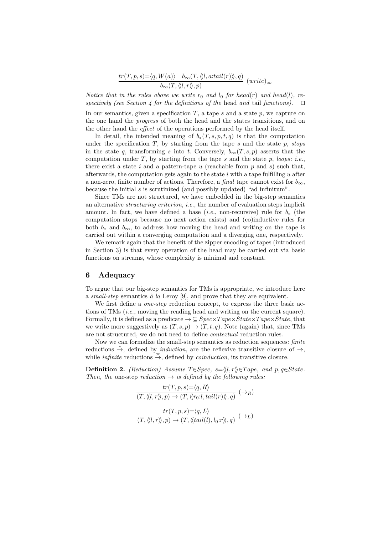# $tr(T, p, s) = \langle q, W(a)\rangle$  b<sub>∞</sub> $(T, \langle\!\langle l, a:tail(r)\rangle\!\rangle, q)$  $\frac{\partial}{\partial \infty}$ (T,  $\langle\langle l,r\rangle\rangle$ , p) (write)<sub>∞</sub>

Notice that in the rules above we write  $r_0$  and  $l_0$  for head(r) and head(l), respectively (see Section 4 for the definitions of the head and tail functions).  $\square$ 

In our semantics, given a specification  $T$ , a tape s and a state  $p$ , we capture on the one hand the progress of both the head and the states transitions, and on the other hand the effect of the operations performed by the head itself.

In detail, the intended meaning of  $b_*(T, s, p, t, q)$  is that the computation under the specification  $T$ , by starting from the tape  $s$  and the state  $p$ , stops in the state q, transforming s into t. Conversely,  $b_{\infty}(T, s, p)$  asserts that the computation under T, by starting from the tape s and the state p, loops: *i.e.*, there exist a state i and a pattern-tape  $u$  (reachable from  $p$  and  $s$ ) such that, afterwards, the computation gets again to the state  $i$  with a tape fulfilling  $u$  after a non-zero, finite number of actions. Therefore, a final tape cannot exist for  $b_{\infty}$ . because the initial s is scrutinized (and possibly updated) "ad infinitum".

Since TMs are not structured, we have embedded in the big-step semantics an alternative structuring criterion, i.e., the number of evaluation steps implicit amount. In fact, we have defined a base (*i.e.*, non-recursive) rule for  $b_*$  (the computation stops because no next action exists) and (co)inductive rules for both  $b_*$  and  $b_{\infty}$ , to address how moving the head and writing on the tape is carried out within a converging computation and a diverging one, respectively.

We remark again that the benefit of the zipper encoding of tapes (introduced in Section 3) is that every operation of the head may be carried out via basic functions on streams, whose complexity is minimal and constant.

### 6 Adequacy

To argue that our big-step semantics for TMs is appropriate, we introduce here a small-step semantics  $\hat{a}$  la Leroy [9], and prove that they are equivalent.

We first define a *one-step* reduction concept, to express the three basic actions of TMs  $(i.e.,$  moving the reading head and writing on the current square). Formally, it is defined as a predicate  $\rightarrow \subseteq Spec \times Trace \times State \times Tape \times State$ , that we write more suggestively as  $(T, s, p) \rightarrow (T, t, q)$ . Note (again) that, since TMs are not structured, we do not need to define contextual reduction rules.

Now we can formalize the small-step semantics as reduction sequences: finite reductions  $\stackrel{*}{\rightarrow}$ , defined by *induction*, are the reflexive transitive closure of  $\rightarrow$ , while *infinite* reductions  $\stackrel{\infty}{\rightarrow}$ , defined by *coinduction*, its transitive closure.

**Definition 2.** (Reduction) Assume  $T \in Spec$ ,  $s = \langle l, r \rangle \in T$  ape, and  $p, q \in State$ . Then, the one-step reduction  $\rightarrow$  is defined by the following rules:

$$
\frac{tr(T, p, s) = \langle q, R \rangle}{(T, \langle\langle l, r \rangle\rangle, p) \to (T, \langle\langle r_0: l, tail(r) \rangle\rangle, q)} \quad (\to_R)
$$
\n
$$
\frac{tr(T, p, s) = \langle q, L \rangle}{(T, \langle\langle l, r \rangle\rangle, p) \to (T, \langle\langle tail(l), l_0: r \rangle\rangle, q)} \quad (\to_L)
$$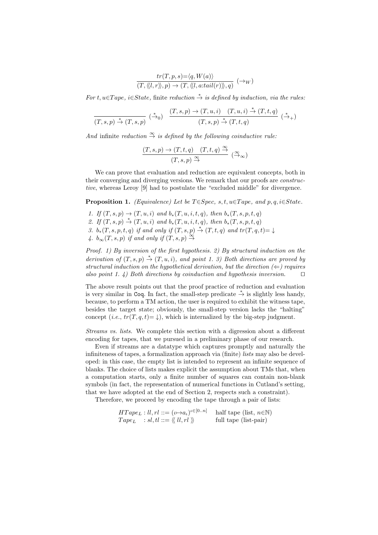$$
\frac{tr(T, p, s) = \langle q, W(a) \rangle}{(T, \langle\langle l, r \rangle\rangle, p) \to (T, \langle\langle l, a: tail(r) \rangle\rangle, q)} \quad (\to_W)
$$

For t, u∈Tape, i∈State, finite reduction  $\stackrel{*}{\rightarrow}$  is defined by induction, via the rules:

$$
\frac{(T,s,p) \stackrel{*}{\rightarrow} (T,s,p)}{(T,s,p) \stackrel{*}{\rightarrow} (T,s,p) \stackrel{(T,u,i)}{\rightarrow} (T,u,i) \stackrel{*}{\rightarrow} (T,t,q)}{(T,s,p) \stackrel{*}{\rightarrow} (T,t,q)} \stackrel{*}{(\rightarrow +)}
$$

And infinite reduction  $\stackrel{\infty}{\rightarrow}$  is defined by the following coinductive rule:

$$
\frac{(T,s,p)\to(T,t,q)\quad(T,t,q)\stackrel{\infty}{\to}}{(T,s,p)\stackrel{\infty}{\to}}\;(\stackrel{\infty}{\to}\infty)
$$

We can prove that evaluation and reduction are equivalent concepts, both in their converging and diverging versions. We remark that our proofs are constructive, whereas Leroy [9] had to postulate the "excluded middle" for divergence.

**Proposition 1.** (Equivalence) Let be  $T \in Spec$ ,  $s, t, u \in T$  ape, and  $p, q, i \in State$ .

1. If  $(T, s, p) \rightarrow (T, u, i)$  and  $b_*(T, u, i, t, q)$ , then  $b_*(T, s, p, t, q)$ 2. If  $(T, s, p) \stackrel{*}{\rightarrow} (T, u, i)$  and  $b_*(T, u, i, t, q)$ , then  $b_*(T, s, p, t, q)$ 3.  $b_*(T, s, p, t, q)$  if and only if  $(T, s, p) \stackrel{*}{\rightarrow} (T, t, q)$  and  $tr(T, q, t) = \downarrow$ 4.  $b_{\infty}(T, s, p)$  if and only if  $(T, s, p) \overset{\infty}{\rightarrow}$ 

Proof. 1) By inversion of the first hypothesis. 2) By structural induction on the derivation of  $(T, s, p) \stackrel{*}{\rightarrow} (T, u, i)$ , and point 1. 3) Both directions are proved by structural induction on the hypothetical derivation, but the direction  $(\Leftarrow)$  requires also point 1. 4) Both directions by coinduction and hypothesis inversion.  $\square$ 

The above result points out that the proof practice of reduction and evaluation is very similar in Coq. In fact, the small-step predicate  $\stackrel{*}{\rightarrow}$  is slightly less handy, because, to perform a TM action, the user is required to exhibit the witness tape, besides the target state; obviously, the small-step version lacks the "halting" concept (*i.e.*,  $tr(T, q, t) = \downarrow$ ), which is internalized by the big-step judgment.

Streams vs. lists. We complete this section with a digression about a different encoding for tapes, that we pursued in a preliminary phase of our research.

Even if streams are a datatype which captures promptly and naturally the infiniteness of tapes, a formalization approach via (finite) lists may also be developed: in this case, the empty list is intended to represent an infinite sequence of blanks. The choice of lists makes explicit the assumption about TMs that, when a computation starts, only a finite number of squares can contain non-blank symbols (in fact, the representation of numerical functions in Cutland's setting, that we have adopted at the end of Section 2, respects such a constraint).

Therefore, we proceed by encoding the tape through a pair of lists:

$$
HTape_L: ll, rl ::= (\iota \mapsto a_\iota)^{\iota \in [0..n]} \quad \text{half tape (list, } n \in \mathbb{N})
$$
  

$$
Tape_L : sl, tl ::= \langle \langle ll, rl \rangle \rangle \quad \text{full tape (list-pair)}
$$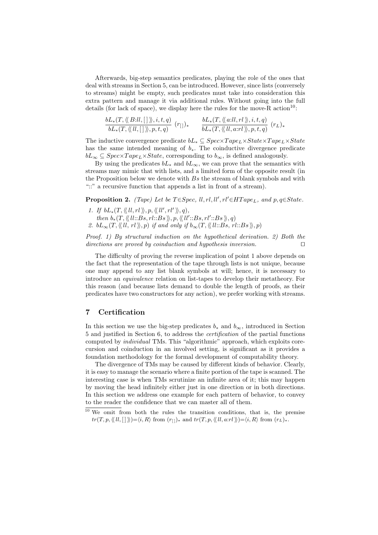Afterwards, big-step semantics predicates, playing the role of the ones that deal with streams in Section 5, can be introduced. However, since lists (conversely to streams) might be empty, such predicates must take into consideration this extra pattern and manage it via additional rules. Without going into the full details (for lack of space), we display here the rules for the move-R action<sup>10</sup>:

$$
\frac{bL_*(T,\langle\!\langle B:ll, [\ ]\ \rangle\!\rangle,i,t,q)}{bL_*(T,\langle\!\langle ll,[ ]\ \rangle\!\rangle,p,t,q)}\ (r_{[1} )_*\qquad \frac{bL_*(T,\langle\!\langle a:ll,rl \ \rangle\!\rangle,i,t,q)}{bL_*(T,\langle\!\langle ll,a:rl \ \rangle\!\rangle,p,t,q)}\ (r_L)_*
$$

The inductive convergence predicate  $bL_* \subseteq Spec \times Tape_L \times State \times Tape_L \times State$ has the same intended meaning of  $b_*$ . The coinductive divergence predicate  $bL_{\infty} \subseteq Spec \times Tape_L \times State$ , corresponding to  $b_{\infty}$ , is defined analogously.

By using the predicates  $bL_*$  and  $bL_{\infty}$ , we can prove that the semantics with streams may mimic that with lists, and a limited form of the opposite result (in the Proposition below we denote with  $Bs$  the stream of blank symbols and with "::" a recursive function that appends a list in front of a stream).

**Proposition 2.** (Tape) Let be  $T \in Spec$ ,  $ll$ ,  $rl$ ,  $ll'$ ,  $rl' \in HTape_L$ , and  $p, q \in State$ .

1. If  $bL_*(T, \langle\!\langle ll, rl \rangle\!\rangle, p, \langle\!\langle ll', rl' \rangle\!\rangle, q),$ then  $b_*(T, \langle\langle llB.; r lB.; h\rangle, p, \langle\langle ll' B.; r l' B.; h\rangle, q)$ 2. b $L_{\infty}(T,\langle\!\langle ll, rl\rangle\!\rangle, p)$  if and only if  $b_{\infty}(T,\langle\!\langle ll::Bs,rl::Bs\rangle\!\rangle, p)$ 

Proof. 1) By structural induction on the hypothetical derivation. 2) Both the directions are proved by coinduction and hypothesis inversion.  $\Box$ 

The difficulty of proving the reverse implication of point 1 above depends on the fact that the representation of the tape through lists is not unique, because one may append to any list blank symbols at will; hence, it is necessary to introduce an equivalence relation on list-tapes to develop their metatheory. For this reason (and because lists demand to double the length of proofs, as their predicates have two constructors for any action), we prefer working with streams.

### 7 Certification

In this section we use the big-step predicates  $b_*$  and  $b_{\infty}$ , introduced in Section 5 and justified in Section 6, to address the certification of the partial functions computed by individual TMs. This "algorithmic" approach, which exploits corecursion and coinduction in an involved setting, is significant as it provides a foundation methodology for the formal development of computability theory.

The divergence of TMs may be caused by different kinds of behavior. Clearly, it is easy to manage the scenario where a finite portion of the tape is scanned. The interesting case is when TMs scrutinize an infinite area of it; this may happen by moving the head infinitely either just in one direction or in both directions. In this section we address one example for each pattern of behavior, to convey to the reader the confidence that we can master all of them.

 $\frac{10}{10}$  We omit from both the rules the transition conditions, that is, the premise  $tr(T, p, \langle\!\langle ll, [\ ]\, \rangle\!\rangle)=\langle i, R \rangle$  from  $(r_{\vert})_*$  and  $tr(T, p, \langle\!\langle ll, a:rl \rangle\!\rangle)=\langle i, R \rangle$  from  $(r_L)_*.$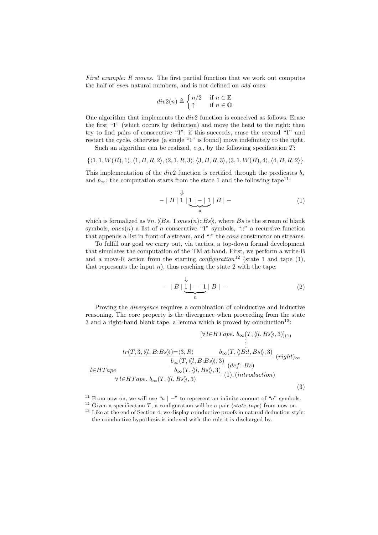First example: R moves. The first partial function that we work out computes the half of even natural numbers, and is not defined on odd ones:

$$
div2(n) \triangleq \begin{cases} n/2 & \text{if } n \in \mathbb{E} \\ \uparrow & \text{if } n \in \mathbb{O} \end{cases}
$$

One algorithm that implements the  $div2$  function is conceived as follows. Erase the first "1" (which occurs by definition) and move the head to the right; then try to find pairs of consecutive "1": if this succeeds, erase the second "1" and restart the cycle, otherwise (a single "1" is found) move indefinitely to the right.

Such an algorithm can be realized,  $e.g.,$  by the following specification  $T$ :

$$
\{\langle 1,1,W(B),1\rangle,\langle 1,B,R,2\rangle,\langle 2,1,R,3\rangle,\langle 3,B,R,3\rangle,\langle 3,1,W(B),4\rangle,\langle 4,B,R,2\rangle\}
$$

This implementation of the div2 function is certified through the predicates  $b_*$ and  $b_{\infty}$ ; the computation starts from the state 1 and the following tape<sup>11</sup>:

$$
-\mid B \mid 1 \mid \underbrace{1 \mid - \mid 1}_{n} \mid B \mid -
$$
 (1)

which is formalized as  $\forall n. \langle B_s, 1:ones(n):B_s \rangle$ , where Bs is the stream of blank symbols,  $ones(n)$  a list of n consecutive "1" symbols, "::" a recursive function that appends a list in front of a stream, and ":" the cons constructor on streams.

To fulfill our goal we carry out, via tactics, a top-down formal development that simulates the computation of the TM at hand. First, we perform a write-B and a move-R action from the starting *configuration*<sup>12</sup> (state 1 and tape (1), that represents the input  $n$ ), thus reaching the state 2 with the tape:

$$
-\mid B\mid \underbrace{1\mid -\mid 1}_{n}\mid B\mid -\tag{2}
$$

Proving the divergence requires a combination of coinductive and inductive reasoning. The core property is the divergence when proceeding from the state 3 and a right-hand blank tape, a lemma which is proved by coinduction<sup>13</sup>:

$$
\left[\forall l \in HTape. \ b_{\infty}(T, \langle l, Bs \rangle), 3)\right]_{(1)}
$$
  
\n
$$
\frac{tr(T, 3, \langle l, B:Bs \rangle) = \langle 3, R \rangle \qquad b_{\infty}(T, \langle l, B:bs \rangle), 3)}{b_{\infty}(T, \langle l, B:Bs \rangle), 3)} \frac{(right)}{(right)}_{\infty}
$$
  
\n
$$
\frac{l \in HTape}{\forall l \in HTape. \ b_{\infty}(T, \langle l, Bs \rangle), 3)} \frac{(def:Bs)}{(1), (introduction)}
$$
  
\n(3)

<sup>&</sup>lt;sup>11</sup> From now on, we will use "a  $\vert -$ " to represent an infinite amount of "a" symbols.

<sup>&</sup>lt;sup>12</sup> Given a specification T, a configuration will be a pair  $\langle state, tape \rangle$  from now on. <sup>13</sup> Like at the end of Section 4, we display coinductive proofs in natural deduction-style:

the coinductive hypothesis is indexed with the rule it is discharged by.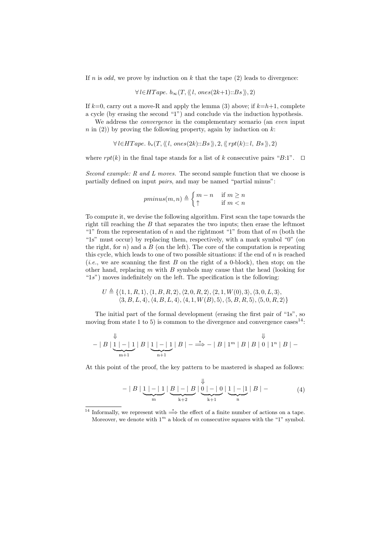If n is odd, we prove by induction on k that the tape  $(2)$  leads to divergence:

$$
\forall l \in HTape. \ b_{\infty}(T, \langle l, ones(2k+1)::Bs \rangle), 2)
$$

If  $k=0$ , carry out a move-R and apply the lemma (3) above; if  $k=h+1$ , complete a cycle (by erasing the second "1") and conclude via the induction hypothesis.

We address the convergence in the complementary scenario (an even input  $n$  in (2)) by proving the following property, again by induction on  $k$ :

$$
\forall l \in HTape. \ b_*(T, \langle\langle l, \text{ones}(2k) :: Bs \rangle\rangle, 2, \langle\langle \text{rpt}(k) :: l, \text{Bs} \rangle\rangle, 2)
$$

where  $rpt(k)$  in the final tape stands for a list of k consecutive pairs "B:1".  $\Box$ 

Second example: R and L moves. The second sample function that we choose is partially defined on input pairs, and may be named "partial minus":

$$
pminus(m, n) \triangleq \begin{cases} m - n & \text{if } m \ge n \\ \uparrow & \text{if } m < n \end{cases}
$$

To compute it, we devise the following algorithm. First scan the tape towards the right till reaching the B that separates the two inputs; then erase the leftmost "1" from the representation of n and the rightmost "1" from that of  $m$  (both the "1s" must occur) by replacing them, respectively, with a mark symbol "0" (on the right, for  $n)$  and a  $B$  (on the left). The core of the computation is repeating this cycle, which leads to one of two possible situations: if the end of  $n$  is reached  $(i.e.,$  we are scanning the first B on the right of a 0-block), then stop; on the other hand, replacing  $m$  with  $B$  symbols may cause that the head (looking for " $1s$ ") moves indefinitely on the left. The specification is the following:

$$
U \triangleq \{ \langle 1, 1, R, 1 \rangle, \langle 1, B, R, 2 \rangle, \langle 2, 0, R, 2 \rangle, \langle 2, 1, W(0), 3 \rangle, \langle 3, 0, L, 3 \rangle, \langle 3, B, L, 4 \rangle, \langle 4, B, L, 4 \rangle, \langle 4, 1, W(B), 5 \rangle, \langle 5, B, R, 5 \rangle, \langle 5, 0, R, 2 \rangle \}
$$

The initial part of the formal development (erasing the first pair of "1s", so moving from state 1 to 5) is common to the divergence and convergence cases<sup>14</sup>:

$$
-\mid B\mid\underbrace{1\mid -\mid 1}_{m+1}\mid B\mid \underbrace{1\mid -\mid 1}_{n+1}\mid B\mid -\stackrel{*}{\implies}-\mid B\mid 1^{m}\mid B\mid B\mid 0\mid 1^{n}\mid B\mid -
$$

At this point of the proof, the key pattern to be mastered is shaped as follows:

$$
-|B| \underbrace{1|-|1|}_{m} \underbrace{B|-|B|}_{k+2} \underbrace{0|-|0|}_{k+1} \underbrace{1|-|1|}_{n} |B| - (4)
$$

<sup>&</sup>lt;sup>14</sup> Informally, we represent with  $\Rightarrow$  the effect of a finite number of actions on a tape. Moreover, we denote with  $1^m$  a block of m consecutive squares with the "1" symbol.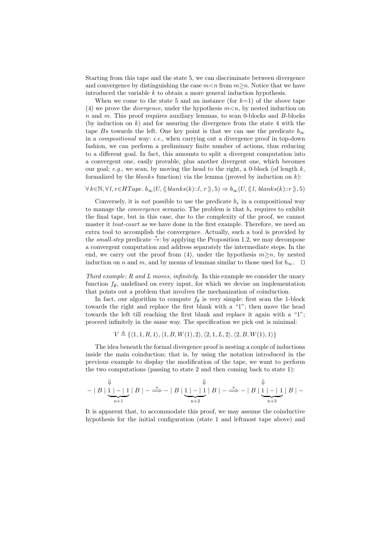Starting from this tape and the state 5, we can discriminate between divergence and convergence by distinguishing the case  $m \leq n$  from  $m \geq n$ . Notice that we have introduced the variable  $k$  to obtain a more general induction hypothesis.

When we come to the state 5 and an instance (for  $k=1$ ) of the above tape (4) we prove the *divergence*, under the hypothesis  $m < n$ , by nested induction on  $n$  and  $m$ . This proof requires auxiliary lemmas, to scan 0-blocks and  $B$ -blocks (by induction on  $k$ ) and for assuring the divergence from the state 4 with the tape Bs towards the left. One key point is that we can use the predicate  $b_{\infty}$ in a compositional way: i.e., when carrying out a divergence proof in top-down fashion, we can perform a preliminary finite number of actions, thus reducing to a different goal. In fact, this amounts to split a divergent computation into a convergent one, easily provable, plus another divergent one, which becomes our goal; e.g., we scan, by moving the head to the right, a 0-block (of length  $k$ , formalized by the *blanks* function) via the lemma (proved by induction on  $k$ ):

 $\forall k \in \mathbb{N}, \forall l, r \in HTape. b_{\infty}(U, \langle\langle blanks(k):l, r \rangle), 5) \Rightarrow b_{\infty}(U, \langle\langle l, blanks(k):r \rangle), 5)$ 

Conversely, it is *not* possible to use the predicate  $b_*$  in a compositional way to manage the *convergence* scenario. The problem is that  $b_*$  requires to exhibit the final tape, but in this case, due to the complexity of the proof, we cannot master it *tout-court* as we have done in the first example. Therefore, we need an extra tool to accomplish the convergence. Actually, such a tool is provided by the *small-step* predicate  $\stackrel{*}{\rightarrow}$ : by applying the Proposition 1.2, we may decompose a convergent computation and address separately the intermediate steps. In the end, we carry out the proof from (4), under the hypothesis  $m>n$ , by nested induction on n and m, and by means of lemmas similar to those used for  $b_{\infty}$ .  $\square$ 

Third example: R and L moves, infinitely. In this example we consider the unary function  $f_{\emptyset}$ , undefined on every input, for which we devise an implementation that points out a problem that involves the mechanization of coinduction.

In fact, our algorithm to compute  $f_{\emptyset}$  is very simple: first scan the 1-block towards the right and replace the first blank with a "1"; then move the head towards the left till reaching the first blank and replace it again with a "1"; proceed infinitely in the same way. The specification we pick out is minimal:

$$
V \triangleq \{ \langle 1, 1, R, 1 \rangle, \langle 1, B, W(1), 2 \rangle, \langle 2, 1, L, 2 \rangle, \langle 2, B, W(1), 1 \rangle \}
$$

The idea beneath the formal divergence proof is nesting a couple of inductions inside the main coinduction; that is, by using the notation introduced in the previous example to display the modification of the tape, we want to perform the two computations (passing to state 2 and then coming back to state 1):

$$
-\mid B\mid\underbrace{1\mid -\mid 1}_{n+1}\mid B\mid -\stackrel{*}{\Longrightarrow}-\mid B\mid\underbrace{1\mid -\mid 1}_{n+2}\mid B\mid -\stackrel{*}{\Longrightarrow}-\mid B\mid\underbrace{1\mid -\mid 1}_{n+3}\mid B\mid -
$$

It is apparent that, to accommodate this proof, we may assume the coinductive hypothesis for the initial configuration (state 1 and leftmost tape above) and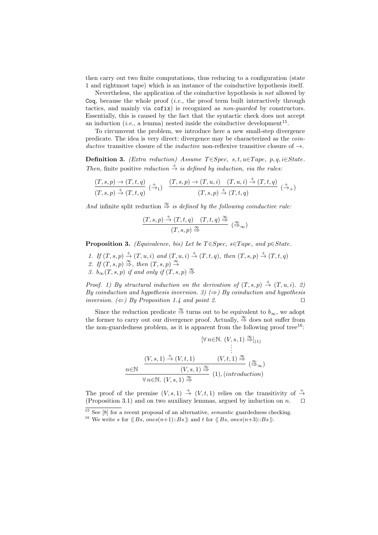then carry out two finite computations, thus reducing to a configuration (state 1 and rightmost tape) which is an instance of the coinductive hypothesis itself.

Nevertheless, the application of the coinductive hypothesis is not allowed by Coq, because the whole proof  $(i.e.,$  the proof term built interactively through tactics, and mainly via cofix) is recognized as non-guarded by constructors. Essentially, this is caused by the fact that the syntactic check does not accept an induction (*i.e.*, a lemma) nested inside the coinductive development<sup>15</sup>.

To circumvent the problem, we introduce here a new small-step divergence predicate. The idea is very direct: divergence may be characterized as the coinductive transitive closure of the *inductive* non-reflexive transitive closure of  $\rightarrow$ .

Definition 3. (Extra reduction) Assume  $T \in Spec$ ,  $s, t, u \in Tape$ ,  $p, q, i \in State$ . Then, finite positive reduction  $\stackrel{+}{\rightarrow}$  is defined by induction, via the rules:

$$
\frac{(T,s,p) \rightarrow (T,t,q)}{(T,s,p) \xrightarrow{+} (T,t,q)} \xrightarrow{(\xrightarrow{+})} \frac{(T,s,p) \rightarrow (T,u,i) \xrightarrow{(T,u,i) \xrightarrow{+} (T,t,q)} (x \xrightarrow{+})}{(T,s,p) \xrightarrow{+} (T,t,q)} \xrightarrow{(\xrightarrow{+})
$$

And infinite split reduction  $\stackrel{\infty}{\Rightarrow}$  is defined by the following coinductive rule:

$$
\frac{(T,s,p) \stackrel{+}{\rightarrow} (T,t,q) \quad (T,t,q) \stackrel{\infty}{\rightarrow} (T,\infty)}{(T,s,p) \stackrel{\infty}{\rightarrow} (\stackrel{\infty}{\rightarrow} \infty)}
$$

**Proposition 3.** (Equivalence, bis) Let be  $T \in Spec$ ,  $s \in Tape$ , and  $p \in State$ .

1. If  $(T, s, p) \stackrel{+}{\rightarrow} (T, u, i)$  and  $(T, u, i) \stackrel{+}{\rightarrow} (T, t, q)$ , then  $(T, s, p) \stackrel{+}{\rightarrow} (T, t, q)$ 2. If  $(T, s, p) \stackrel{\infty}{\Rightarrow}$ , then  $(T, s, p) \stackrel{\infty}{\rightarrow}$ 3.  $b_{\infty}(T, s, p)$  if and only if  $(T, s, p) \stackrel{\infty}{\Rightarrow}$ 

Proof. 1) By structural induction on the derivation of  $(T, s, p) \stackrel{+}{\rightarrow} (T, u, i)$ . 2) By coinduction and hypothesis inversion. 3)  $(\Rightarrow)$  By coinduction and hypothesis inversion.  $(\Leftarrow)$  By Proposition 1.4 and point 2.

Since the reduction predicate  $\stackrel{\infty}{\Rightarrow}$  turns out to be equivalent to  $b_{\infty}$ , we adopt the former to carry out our divergence proof. Actually,  $\stackrel{\infty}{\Rightarrow}$  does not suffer from the non-guardedness problem, as it is apparent from the following proof tree<sup>16</sup>:

n∈N (V, s, 1) <sup>+</sup>→ (V, t, 1) [<sup>∀</sup> <sup>n</sup>∈N. (V, s, 1) <sup>∞</sup>⇒](1) . . . . (V, t, 1) <sup>∞</sup>⇒ (V, s, 1) <sup>∞</sup>⇒ ( <sup>∞</sup>⇒∞) ∀ n∈N. (V, s, 1) <sup>∞</sup>⇒ (1),(introduction)

The proof of the premise  $(V, s, 1) \stackrel{+}{\rightarrow} (V, t, 1)$  relies on the transitivity of  $\stackrel{+}{\rightarrow}$ (Proposition 3.1) and on two auxiliary lemmas, argued by induction on  $n$ .

 $15$  See [8] for a recent proposal of an alternative, *semantic* guardedness checking.

<sup>&</sup>lt;sup>16</sup> We write s for  $\langle Bs, ones(n+1):Bs \rangle$  and t for  $\langle Bs, ones(n+3):Bs \rangle$ .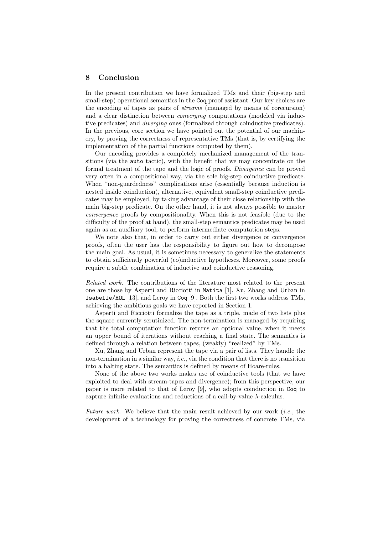#### 8 Conclusion

In the present contribution we have formalized TMs and their (big-step and small-step) operational semantics in the Coq proof assistant. Our key choices are the encoding of tapes as pairs of streams (managed by means of corecursion) and a clear distinction between converging computations (modeled via inductive predicates) and diverging ones (formalized through coinductive predicates). In the previous, core section we have pointed out the potential of our machinery, by proving the correctness of representative TMs (that is, by certifying the implementation of the partial functions computed by them).

Our encoding provides a completely mechanized management of the transitions (via the auto tactic), with the benefit that we may concentrate on the formal treatment of the tape and the logic of proofs. Divergence can be proved very often in a compositional way, via the sole big-step coinductive predicate. When "non-guardedness" complications arise (essentially because induction is nested inside coinduction), alternative, equivalent small-step coinductive predicates may be employed, by taking advantage of their close relationship with the main big-step predicate. On the other hand, it is not always possible to master convergence proofs by compositionality. When this is not feasible (due to the difficulty of the proof at hand), the small-step semantics predicates may be used again as an auxiliary tool, to perform intermediate computation steps.

We note also that, in order to carry out either divergence or convergence proofs, often the user has the responsibility to figure out how to decompose the main goal. As usual, it is sometimes necessary to generalize the statements to obtain sufficiently powerful (co)inductive hypotheses. Moreover, some proofs require a subtle combination of inductive and coinductive reasoning.

Related work. The contributions of the literature most related to the present one are those by Asperti and Ricciotti in Matita [1], Xu, Zhang and Urban in Isabelle/HOL [13], and Leroy in Coq [9]. Both the first two works address TMs, achieving the ambitious goals we have reported in Section 1.

Asperti and Ricciotti formalize the tape as a triple, made of two lists plus the square currently scrutinized. The non-termination is managed by requiring that the total computation function returns an optional value, when it meets an upper bound of iterations without reaching a final state. The semantics is defined through a relation between tapes, (weakly) "realized" by TMs.

Xu, Zhang and Urban represent the tape via a pair of lists. They handle the non-termination in a similar way, *i.e.*, via the condition that there is no transition into a halting state. The semantics is defined by means of Hoare-rules.

None of the above two works makes use of coinductive tools (that we have exploited to deal with stream-tapes and divergence); from this perspective, our paper is more related to that of Leroy [9], who adopts coinduction in Coq to capture infinite evaluations and reductions of a call-by-value  $\lambda$ -calculus.

Future work. We believe that the main result achieved by our work  $(i.e.,$  the development of a technology for proving the correctness of concrete TMs, via